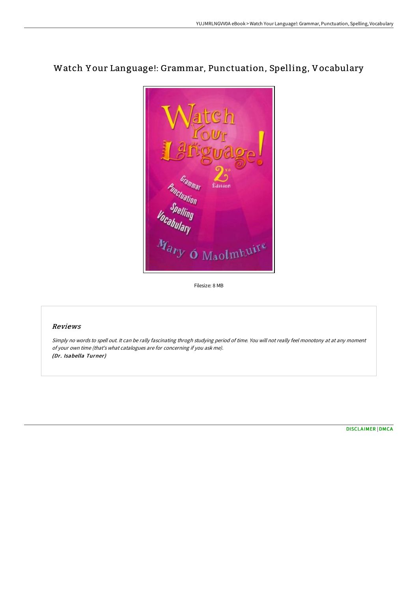# Watch Y our Language!: Grammar, Punctuation, Spelling, Vocabulary

**Punctuation**<br> **Vocabulary**<br> **Mary O Maolmhuits** <sup>rammal</sup> Èditio

## Reviews

Simply no words to spell out. It can be rally fascinating throgh studying period of time. You will not really feel monotony at at any moment of your own time (that's what catalogues are for concerning if you ask me). (Dr. Isabella Turner)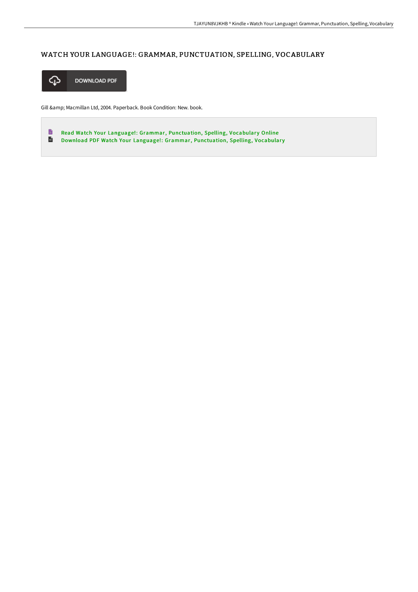## WATCH YOUR LANGUAGE!: GRAMMAR, PUNCTUATION, SPELLING, VOCABULARY



Gill & amp; Macmillan Ltd, 2004. Paperback. Book Condition: New. book.

 $\blacksquare$ Read Watch Your Language!: Grammar, [Punctuation,](http://bookera.tech/watch-your-language-grammar-punctuation-spelling.html) Spelling, Vocabulary Online  $\frac{1}{16}$ Download PDF Watch Your Language!: Grammar, [Punctuation,](http://bookera.tech/watch-your-language-grammar-punctuation-spelling.html) Spelling, Vocabulary